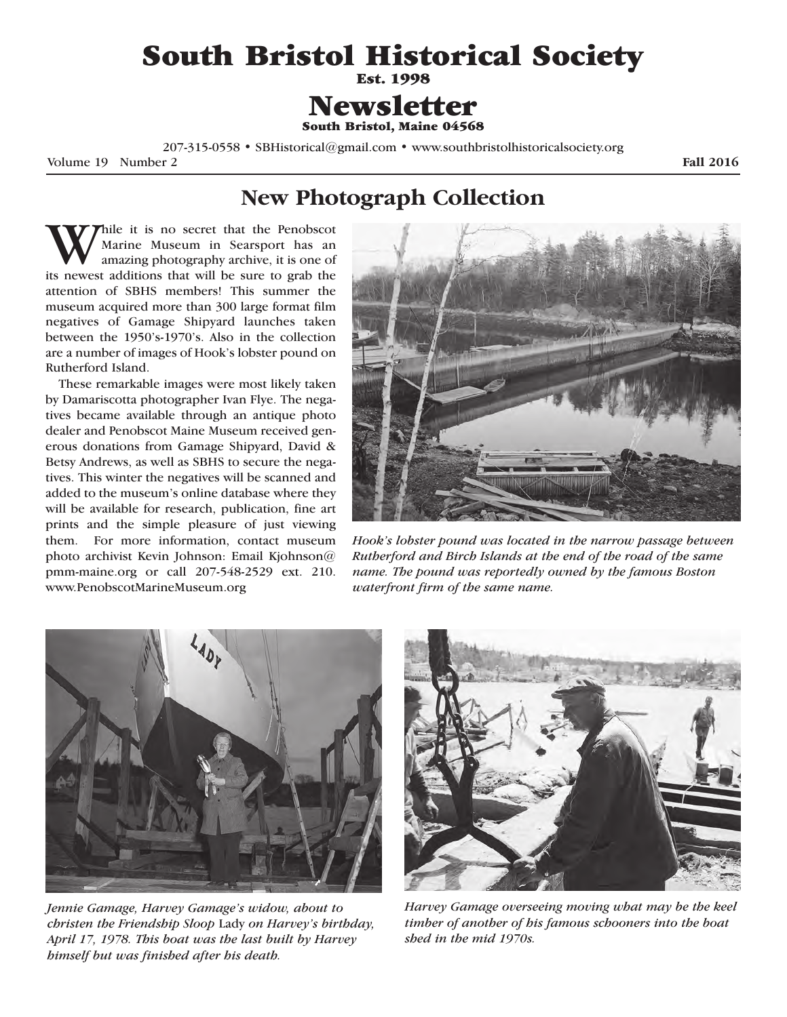# South Bristol Historical Society

Est. 1998

# Newsletter

South Bristol, Maine 04568

207-315-0558 • SBHistorical@gmail.com • www.southbristolhistoricalsociety.org

Volume 19 Number 2 **Fall 2016** 

## **New Photograph Collection**

While it is no secret that the Penobscot Marine Museum in Searsport has an amazing photography archive, it is one of its newest additions that will be sure to grab the attention of SBHS members! This summer the museum acquired more than 300 large format film negatives of Gamage Shipyard launches taken between the 1950's-1970's. Also in the collection are a number of images of Hook's lobster pound on Rutherford Island.

These remarkable images were most likely taken by Damariscotta photographer Ivan Flye. The negatives became available through an antique photo dealer and Penobscot Maine Museum received generous donations from Gamage Shipyard, David & Betsy Andrews, as well as SBHS to secure the negatives. This winter the negatives will be scanned and added to the museum's online database where they will be available for research, publication, fine art prints and the simple pleasure of just viewing them. For more information, contact museum photo archivist Kevin Johnson: Email Kjohnson@ pmm-maine.org or call 207-548-2529 ext. 210. www.PenobscotMarineMuseum.org



*Hook's lobster pound was located in the narrow passage between Rutherford and Birch Islands at the end of the road of the same name. The pound was reportedly owned by the famous Boston waterfront firm of the same name.*



*Jennie Gamage, Harvey Gamage's widow, about to christen the Friendship Sloop* Lady *on Harvey's birthday, April 17, 1978. This boat was the last built by Harvey himself but was finished after his death.*



*Harvey Gamage overseeing moving what may be the keel timber of another of his famous schooners into the boat shed in the mid 1970s.*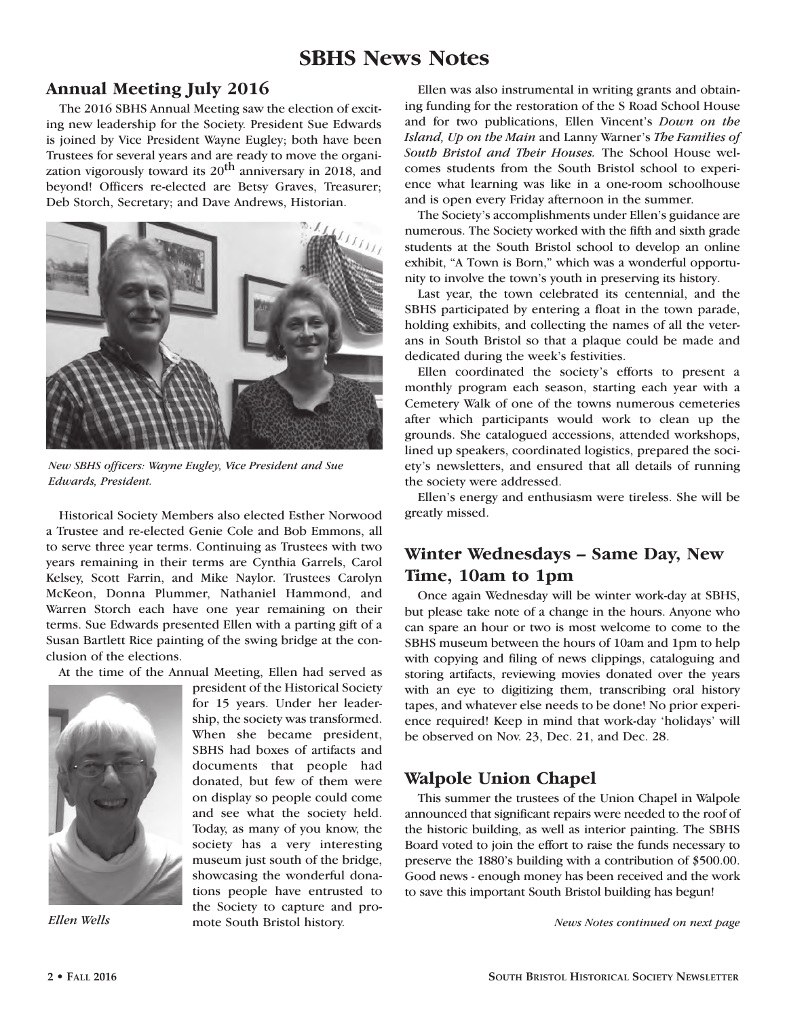## **SBHS News Notes**

#### **Annual Meeting July 2016**

The 2016 SBHS Annual Meeting saw the election of exciting new leadership for the Society. President Sue Edwards is joined by Vice President Wayne Eugley; both have been Trustees for several years and are ready to move the organization vigorously toward its  $20<sup>th</sup>$  anniversary in 2018, and beyond! Officers re-elected are Betsy Graves, Treasurer; Deb Storch, Secretary; and Dave Andrews, Historian.



*New SBHS officers: Wayne Eugley, Vice President and Sue Edwards, President.*

Historical Society Members also elected Esther Norwood a Trustee and re-elected Genie Cole and Bob Emmons, all to serve three year terms. Continuing as Trustees with two years remaining in their terms are Cynthia Garrels, Carol Kelsey, Scott Farrin, and Mike Naylor. Trustees Carolyn McKeon, Donna Plummer, Nathaniel Hammond, and Warren Storch each have one year remaining on their terms. Sue Edwards presented Ellen with a parting gift of a Susan Bartlett Rice painting of the swing bridge at the conclusion of the elections.

At the time of the Annual Meeting, Ellen had served as



 *Ellen Wells*

president of the Historical Society for 15 years. Under her leadership, the society was transformed. When she became president, SBHS had boxes of artifacts and documents that people had donated, but few of them were on display so people could come and see what the society held. Today, as many of you know, the society has a very interesting museum just south of the bridge, showcasing the wonderful donations people have entrusted to the Society to capture and promote South Bristol history.

Ellen was also instrumental in writing grants and obtaining funding for the restoration of the S Road School House and for two publications, Ellen Vincent's *Down on the Island, Up on the Main* and Lanny Warner's *The Families of South Bristol and Their Houses.* The School House welcomes students from the South Bristol school to experience what learning was like in a one-room schoolhouse and is open every Friday afternoon in the summer.

The Society's accomplishments under Ellen's guidance are numerous. The Society worked with the fifth and sixth grade students at the South Bristol school to develop an online exhibit, "A Town is Born," which was a wonderful opportunity to involve the town's youth in preserving its history.

Last year, the town celebrated its centennial, and the SBHS participated by entering a float in the town parade, holding exhibits, and collecting the names of all the veterans in South Bristol so that a plaque could be made and dedicated during the week's festivities.

Ellen coordinated the society's efforts to present a monthly program each season, starting each year with a Cemetery Walk of one of the towns numerous cemeteries after which participants would work to clean up the grounds. She catalogued accessions, attended workshops, lined up speakers, coordinated logistics, prepared the society's newsletters, and ensured that all details of running the society were addressed.

Ellen's energy and enthusiasm were tireless. She will be greatly missed.

### **Winter Wednesdays – Same Day, New Time, 10am to 1pm**

Once again Wednesday will be winter work-day at SBHS, but please take note of a change in the hours. Anyone who can spare an hour or two is most welcome to come to the SBHS museum between the hours of 10am and 1pm to help with copying and filing of news clippings, cataloguing and storing artifacts, reviewing movies donated over the years with an eye to digitizing them, transcribing oral history tapes, and whatever else needs to be done! No prior experience required! Keep in mind that work-day 'holidays' will be observed on Nov. 23, Dec. 21, and Dec. 28.

#### **Walpole Union Chapel**

This summer the trustees of the Union Chapel in Walpole announced that significant repairs were needed to the roof of the historic building, as well as interior painting. The SBHS Board voted to join the effort to raise the funds necessary to preserve the 1880's building with a contribution of \$500.00. Good news - enough money has been received and the work to save this important South Bristol building has begun!

*News Notes continued on next page*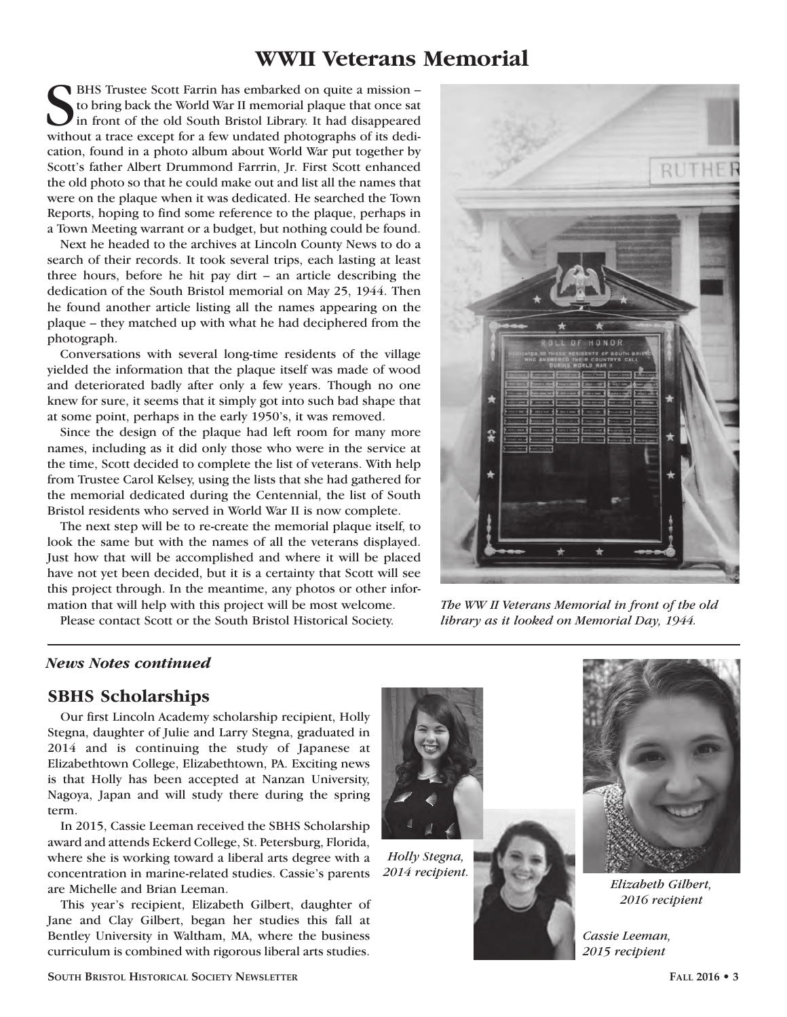## **WWII Veterans Memorial**

SBHS Trustee Scott Farrin has embarked on quite a mission –<br>to bring back the World War II memorial plaque that once sat<br>in front of the old South Bristol Library. It had disappeared<br>without a trace except for a few undate to bring back the World War II memorial plaque that once sat without a trace except for a few undated photographs of its dedication, found in a photo album about World War put together by Scott's father Albert Drummond Farrrin, Jr. First Scott enhanced the old photo so that he could make out and list all the names that were on the plaque when it was dedicated. He searched the Town Reports, hoping to find some reference to the plaque, perhaps in a Town Meeting warrant or a budget, but nothing could be found.

Next he headed to the archives at Lincoln County News to do a search of their records. It took several trips, each lasting at least three hours, before he hit pay dirt – an article describing the dedication of the South Bristol memorial on May 25, 1944. Then he found another article listing all the names appearing on the plaque – they matched up with what he had deciphered from the photograph.

Conversations with several long-time residents of the village yielded the information that the plaque itself was made of wood and deteriorated badly after only a few years. Though no one knew for sure, it seems that it simply got into such bad shape that at some point, perhaps in the early 1950's, it was removed.

Since the design of the plaque had left room for many more names, including as it did only those who were in the service at the time, Scott decided to complete the list of veterans. With help from Trustee Carol Kelsey, using the lists that she had gathered for the memorial dedicated during the Centennial, the list of South Bristol residents who served in World War II is now complete.

The next step will be to re-create the memorial plaque itself, to look the same but with the names of all the veterans displayed. Just how that will be accomplished and where it will be placed have not yet been decided, but it is a certainty that Scott will see this project through. In the meantime, any photos or other information that will help with this project will be most welcome.

Please contact Scott or the South Bristol Historical Society.



*The WW II Veterans Memorial in front of the old library as it looked on Memorial Day, 1944.*

#### *News Notes continued*

#### **SBHS Scholarships**

Our first Lincoln Academy scholarship recipient, Holly Stegna, daughter of Julie and Larry Stegna, graduated in 2014 and is continuing the study of Japanese at Elizabethtown College, Elizabethtown, PA. Exciting news is that Holly has been accepted at Nanzan University, Nagoya, Japan and will study there during the spring term.

In 2015, Cassie Leeman received the SBHS Scholarship award and attends Eckerd College, St. Petersburg, Florida, where she is working toward a liberal arts degree with a concentration in marine-related studies. Cassie's parents are Michelle and Brian Leeman.

This year's recipient, Elizabeth Gilbert, daughter of Jane and Clay Gilbert, began her studies this fall at Bentley University in Waltham, MA, where the business curriculum is combined with rigorous liberal arts studies.



*Holly Stegna, 2014 recipient.*



*Elizabeth Gilbert, 2016 recipient*

*Cassie Leeman, 2015 recipient*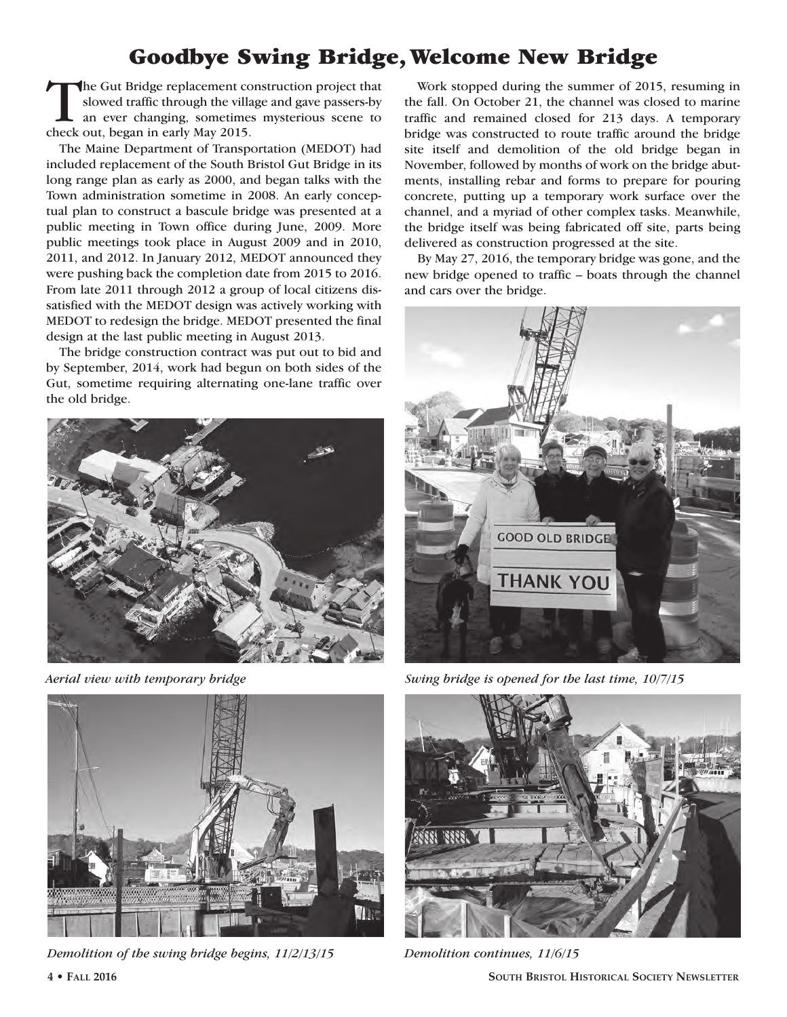## Goodbye Swing Bridge, Welcome New Bridge

The Gut Bridge replacement construction project that slowed traffic through the village and gave passers-by an ever changing, sometimes mysterious scene to check out, began in early May 2015.

The Maine Department of Transportation (MEDOT) had included replacement of the South Bristol Gut Bridge in its long range plan as early as 2000, and began talks with the Town administration sometime in 2008. An early conceptual plan to construct a bascule bridge was presented at a public meeting in Town office during June, 2009. More public meetings took place in August 2009 and in 2010, 2011, and 2012. In January 2012, MEDOT announced they were pushing back the completion date from 2015 to 2016. From late 2011 through 2012 a group of local citizens dissatisfied with the MEDOT design was actively working with MEDOT to redesign the bridge. MEDOT presented the final design at the last public meeting in August 2013.

The bridge construction contract was put out to bid and by September, 2014, work had begun on both sides of the Gut, sometime requiring alternating one-lane traffic over the old bridge.





*Demolition of the swing bridge begins, 11/2/13/15 Demolition continues, 11/6/15*

Work stopped during the summer of 2015, resuming in the fall. On October 21, the channel was closed to marine traffic and remained closed for 213 days. A temporary bridge was constructed to route traffic around the bridge site itself and demolition of the old bridge began in November, followed by months of work on the bridge abutments, installing rebar and forms to prepare for pouring concrete, putting up a temporary work surface over the channel, and a myriad of other complex tasks. Meanwhile, the bridge itself was being fabricated off site, parts being delivered as construction progressed at the site.

By May 27, 2016, the temporary bridge was gone, and the new bridge opened to traffic – boats through the channel and cars over the bridge.



*Aerial view with temporary bridge Swing bridge is opened for the last time, 10/7/15*



**4 • Fall 2016 South Bristol Historical Society Newsletter**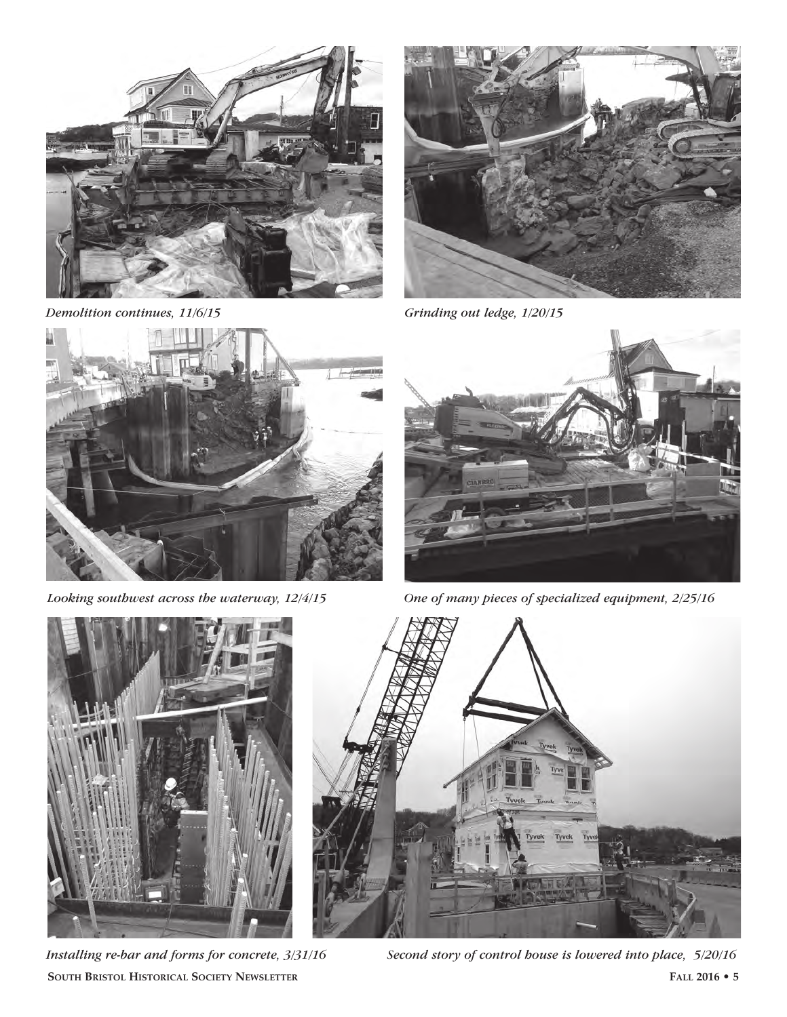

*Demolition continues, 11/6/15 Grinding out ledge, 1/20/15*







*Looking southwest across the waterway, 12/4/15 One of many pieces of specialized equipment, 2/25/16*



**South Bristol Historical Society Newsletter Fall 2016 • 5**



*Installing re-bar and forms for concrete, 3/31/16 Second story of control house is lowered into place, 5/20/16*